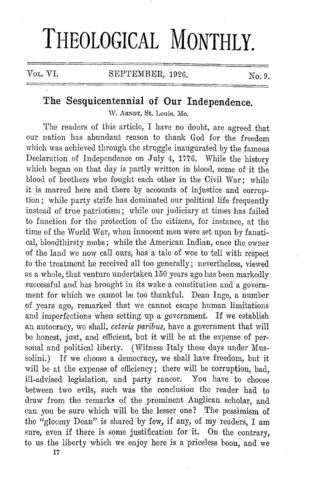## **THEOLOGICAL MONTHLY.**

## **The Sesquicentennial of Our Independence.**

W. ARNDT, St. Louis, Mo.

The readers of this article, I have no doubt, are agreed that our nation has abundant reason to thank God for the freedom which was achieved through the struggle inaugurated by the famous Declaration of Independence on July 4, 1776. While the history which began on that day is partly written in blood, some of it the blood of brothers who fought each other in the Civil War; while it is marred here and there by accounts of injustice and corruption; while party strife has dominated our political life frequently instead of true patriotism; while our judiciary at times has failed to function for the protection of the citizens, for instance, at the time of the World War, when innocent men were set upon by fanatical, bloodthirsty mobs; while the American Indian, once the owner of the land we now call ours, has a tale of woe to tell with respect to the treatment he received all too generally; nevertheless, viewed as a whole, that venture undertaken 150 years ago has been markedly successful and has brought in its wake a constitution and a government for which we cannot be too thankful. Dean Inge, a number of years ago, remarked that we cannot escape human limitations and imperfections when setting up a government. If we establish an autocracy, we shall, *ceteris paribus,* have a government that will be honest, just, and efficient, but it will be at the expense of personal and political liberty. (Witness Italy these days under Mussolini.) If we choose a democracy, we shall have freedom, but it will be at the expense of efficiency; there will be corruption, bad. ill-advised legislation, and party rancor. You have to choose between two evils, such was the conclusion the reader had to draw from the remarks of the prominent Anglican scholar, and can you be sure which will be the lesser one? The pessimism of the "gloomy Dean" is shared by few, if any, of my readers, I am sure, even if there is some justification for it. On the contrary, to us the liberty which we enjoy here is a priceless boon, and we

**17**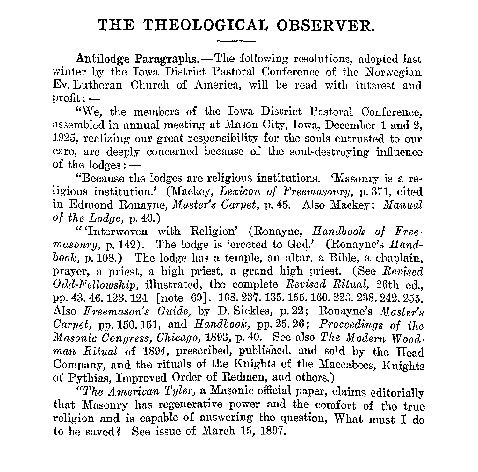## **THE THEOLOGICAL OBSERVER.**

Antilodge Paragraphs.-The following resolutions, adopted last winter by the Iowa District Pastoral Conference of the Norwegian Ev. Lutheran Church of America, will be read with interest and  $profit: -$ 

*"We, the members of the Iowa District Pastoral Conference,* assembled in annual meeting at Mason City, Iowa, December 1 and 2, 1925, realizing our great responsibility for the souls entrusted to our care, are deeply concerned because of the soul-destroying influence of the  $loges:$   $-$ 

"Because the lodges are religious institutions. 'Masonry is a religious institution.' (Mackey, *Lexicon of Freemasonry,* p. 371, cited in Edmond Ronayne, *Master's Carpet*, p. 45. Also Mackey: *Manual of the Lodge,* p. 40.)

"'Interwoven with Religion' (Ronayne, *Handbook of Freemasonry, p.* 142). The lodge is 'erected to God.' (Ronayne's *Handbook,* p.108.) The lodge has a temple, an altar, a Bible, a chaplain, prayer, a priest, a high priest, a grand high priest. (See *Revised Odd-Fellowship,* illustrated, the complete *Revised Ritual,* 26th ed., pp.43.46.123.124 [note 69]. 168.237.135.155.lG0.223.238.242.255. Also *Freemason's Guide,* by D. Sickles, p. 22; Ronayne's *Master's Carpet,* pp. 150. 151, and *Handbook,* pp. 25. 26; *Proceedings of the*   $Masonic$  *Congress, Chicago,* 1893, p. 40. See also *The Modern Woodman Ritual* of 1894, prescribed, published, and sold by the Head Company, and the rituals of the Knights of the Maccabees, Knights of Pythias, Improved Order of Redmen, and others.)

*"The American Tyler,* a Masonic official paper, claims editorially that Masonry has regenerative power and the comfort of the true religion and is capable of answering the question, What must I do to be saved? See issue of March 15, 1897.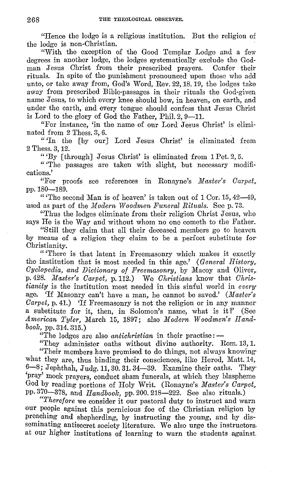"Hence the lodge is a religious institution. But the religion of the lodge is non-Christian.

"With the exception of the Good Templar Lodge and a few degrees in another lodge, the lodges systematically exclude the God-<br>man Jesus Christ from their prescribed prayers. Confer their man Jesus Christ from their prescribed prayers. rituals. In spite of the punishment pronounced upon those who add unto, or take away from, God's Word, Rev. 22, 18. 19, the lodges take away from prescribed Bible-passages in their rituals the God-given name Jesus, to which every knee should bow, in heaven, on earth, and under the earth, and every tongue should confess that Jesus Christ is Lord to the glory of God the Father, Phil.  $2.9-11$ .

"For instance, 'in the name of our Lord Jesus Christ' is eliminated from 2 Thess. 3, 6.

"'In the [by our] Lord Jesus Christ' is eliminated from 2 Thess. 3, 12.

" 'By [ through] Jesus Christ' is eliminated from 1 Pct. 2, 5.

"The passages are taken with slight, but necessary modifications.'

"For proofs see references in Ronayne's *Master's Carpet*, pp.180-189.

"The second Man is of heaven' is taken out of 1 Cor. 15, 42-49, used as part of the *111 odern Woodmen Funeral Rituals.* See p. 73.

"Thus the lodges eliminate from their religion Christ Jesus, who says He is the Way and without whom no one cometh to the Father.

"Still they claim that all their deceased members go to heaven by means of a religion they claim to be a perfect substitute for· Christianity.

"'There is that latent in Freemasonry which makes it exactly the institution that is most needed in this age.' *(General History, Cyclopedia, and Dictionary of Freemasonry, by Macoy and Oliver,.* p. 428. Master's Carpet, p. 112.) We Christians know that Chris*tianity* is the institution most needed in this sinful world in *every·*  age. 'If Masonry can't have a man, he cannot be saved.' *(Master's Carpet, p. 41.*) If Freemasonry is not the religion or in any manner a substitute for it, then, in Solomon's name, what is it?' (See *American Tyler,* March 15, 1897; also *Modern Woodmen's llandboolc,* pp. 314. 315.)

"The lodges are also *antichristian* in their practise: -

"They administer oaths without divine authority. Rom. 13, 1. "Their members have promised to do things, not always knowingwhat they are, thus binding their consciences, like Herod, Matt.14, 6-8; Jephthah, Judg. 11, 30, 31, 34-39. Examine their oaths. They 'pray' mock prayers, conduct sham funerals, at which they blaspheme God by reading portions of Holy Writ. (Ronayne's *Master's Carpet,*  PP• 370-378, and *Handbook,* pp. 200. 218-222. See also rituals.)

*"Therefore* we consider it our pastoral duty to instruct and warn our people against this pernicious foe of the Christian religion by preaching and shepherding, by instructing the young, and by disseminating antisecret society literature. We also urge the instructors. at our higher institutions of learning to warn the students against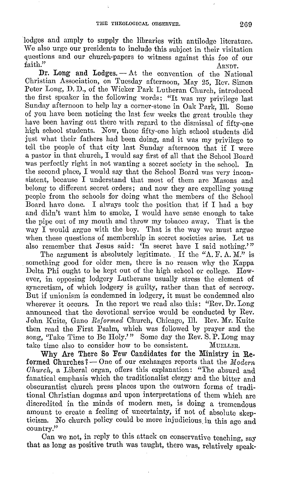lodges and amply to supply the libraries with antilodge literature. We also urge our presidents to include this subject in their visitation questions and our church-papers to witness against this foe of our faith." faith." ARNDT.

**Dr. Long and Lodges.** - At the convention of the National Christian Association, on Tuesday afternoon, May 25, Rev. Simon Peter Long, D. D., of the Wicker Park Lutheran Church, introduced the first speaker in the following words: "It was my privilege last Sunday afternoon to help lay a corner-stone in Oak Park, Ill. Some of you have been noticing the last few weeks the great trouble they have been having out there with regard to the dismissal of fifty-one high school students. Now, those fifty-one high school students did just what their fathers had been doing, and it was my privilege to tell the people of that city last Sunday afternoon that if I were **a** pastor **in** that church, I would say first of all that the School Board was perfectly right in not wanting a secret society in the school. In the second place, I would say that the School Board was very inconsistent, because I understand that most of them are Masons and belong to different secret orders; and now they are expelling young people from the schools for doing what the members of the School Board have done. I always took the position that if I had a boy and didn't want him to smoke, I would have sense enough to take the pipe out of my mouth and throw my tobacco away. That is the way I would argue with the boy. That is the way we must argue when these questions of membership in secret societies arise. Let us also remember that Jesus said: 'In secret have I said nothing.'"

The argument is absolutely legitimate. If the "A. F. A. M." is something good for older men, there is no reason why the Kappa Delta Phi ought to be kept out of the high school or college. However, in opposing lodgery Lutherans usually stress the element of syncretism, of which lodgery is guilty, rather than that of secrecy. But if unionism is condemned in lodgcry, it must be condemned also wherever it occurs. In the report we read also this: "Rev. Dr. Long" announced that the devotional service would be conducted by Rev. John Kuite, Gano *Reformed* Church, Chicago, Ill. Rev. Mr. Kuite then read the First Psalm, which was followed by prayer and the song, 'Take Time to Be Holy.'" Some day the Rev. S. P. Long may take time also to consider how to be consistent. MUELLER. take time also to consider how to be consistent.

Why Are There So Few Candidates for the Ministry in Reformed Churches? - One of our exchanges reports that the *Modern Church,* a Liberal organ, offers this explanation: "The absurd and fanatical emphasis which the traditionalist clergy and the bitter and obscurantist church press places upon the outworn forms of traditional Christian dogmas and upon interpretations of them which are discredited in the minds of modern men, is doing a tremendous amount to create a feeling of uncertainty, if not of absolute skepticism. No church policy could be more injudicious, in this age and country."

Can we not, in reply to this attack on conservative teaching, say that as long as positive truth was taught, there was, relatively speak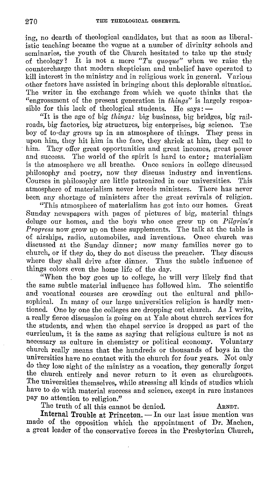ing, no dearth of theological candidates, but that as soon as liberalistic teaching became tho vogue at a number of divinity schools and seminaries, the youth of the Church hesitated to take up the study of theology? It is not a mere  $T_u$  *quoque*" when we raise the countercharge that modern skepticism and unbelief have operated t) kill interest in the ministry and in religious work in general. Various other factors have assisted in bringing· about this deplorable situation. The writer in the exchange from which we quote thinks that the "engrossment of the present generation in *things"* is largely responsible for this lack of theological students. He says:  $-$ 

"It is the age of big *things:* big business, big bridges, big railroads, big factories, big structures, big enterprises, big science. boy of to-day grows up in an atmosphere of things. They press in upon him, they hit him in the face, they shriek at him, they call to him. They offer great opportunities and great incomes, great power and success. The world of the spirit is hard to enter: materialism The world of the spirit is hard to enter; materialism is the atmosphere we all breathe. Once seniors in college discussed philosophy and poetry, now they discuss industry and inventions. Courses in philosophy are little patronized in our universities. This atmosphere of materialism never breeds ministers. There has never been any shortage of ministers after the great revivals of religion.

"This atmosphere of materialism has got into our homes. Great Sunday newspapers with pages of pictures of big, material things deluge our homes, and the boys who once grew up on *Pilgrim's Progress* now grow up on these supplements. The talk at the table is of airships, radio, automobiles, and inventions. Once church was discussed at the Sunday dinner; now many families never go to church, or if they do, they do not discuss the preacher. They discuss where they shall drive after dinner. Thus the subtle influence of things colors even the home life of the day.

"When the boy goes up to college, he will very likely find that the same subtle material influence has followed him. The scientific and vocational courses are crowding out the cultural and philosophical. In many of our large universities religion is hardly mentioned. One by one the colleges are dropping out church. As I write, a really fierce discussion is going on at Yale about church services for the students, and when the chapel service is dropped as part of the curriculum, it is the same as saying that religious culture is not as necessary as culture in chemistry or political economy. Voluntary church really means that the hundreds or thousands of boys in the universities have no contact with the church for four years. Not only do they lose sight of the ministry as a vocation, they generally forget the church entirely and never return to it even as churchgoers. The universities themselves, while stressing all kinds of studies which have to do with material success and science, except in rare instances pay no attention to religion."

The truth of all this cannot be denied. ARNDT.

Internal Trouble at Princeton. — In our last issue mention was made of the opposition which the appointment of **Dr.** Machen, a great leader of the conservative forces in the Presbyterian Church,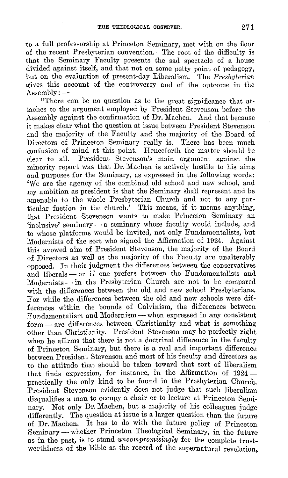to a full professorship at Princeton Seminary, met with on the floor 0£ the recent Presbyterian convention. The root 0£ the difficulty is that the Seminary Faculty presents the sad spectacle of a house divided against itself, and that not on some petty point of pedagogy, but on the evaluation 0£ present-day Liberalism. The *Presbyterian*  gives this account 0£ the controversy and 0£ the outcome in the  $\Lambda$ ssembly:  $-$ 

"There can be no question as to the great significance that attaches to the argument employed by President Stevenson before the Assembly against the confirmation of Dr. Machen. And that because it makes clear what the question at issue between President Stevenson and the majority of the Faculty and the majority of the Board of Directors of Princeton Seminary really is. There has been much confusion 0£ mind at this point. Henceforth the matter should be clear to all. President Stevenson's main argument against the minority report was that Dr. Machen is actively hostile to his aims and purposes for the Seminary, as expressed in the following words: 'We are the agency 0£ the combined old school and new school, and my ambition as president is that the Seminary shall represent and be amenable to the whole Presbyterian Church and not to any particular faction in the church.' This means, if it means anything, that President Stevenson wants to make Princeton Seminary an 'inclusive' seminary - a seminary whose faculty would include, and to whose platforms would be invited, not only Fundamentalists, but Modernists 0£ the sort who signed the Affirmation 0£ 1924. Against this avowed aim 0£ President Stevenson, the majority 0£ the Board 0£ Directors as well as the majority 0£ the Faculty are unalterably opposed. In their judgment the differences between the conservatives and liberals - or if one prefers between the Fundamentalists and  $Modernists - in$  the Presbyterian Church are not to be compared with the differences between the old and new school Presbyterians. For while the differences between the old and new schools were di£ ferences within the bounds of Calvinism, the differences between Fundamentalism and Modernism - when expressed in any consistent  $form \rightarrow are$  differences between Christianity and what is something other than Christianity. President Stevenson may be perfectly right when he affirms that there is not 'a doctrinal difference in the faculty 0£ Princeton Seminary, but there is a real and important difference between President Stevenson and most of his faculty and directors as to the attitude that should be taken toward that sort of liberalism that finds expression, for instance, in the Affirmation of  $1924$ practically the only kind to be found in the Presbyterian Church. President Stevenson evidently does not judge that such liberalism disqualifies a man to occupy a chair or to lecture at Princeton Seminary. Not only Dr. Machen, but a majority of his colleagues judge differently. The question at issue is a larger question than the future of Dr. Machen. It has to do with the future policy of Princeton Seminary - whether Princeton Theological Seminary, in the future as in the past, is to stand *uncompromisingly* for the complete trustworthiness of the Bible as the record of the supernatural revelation,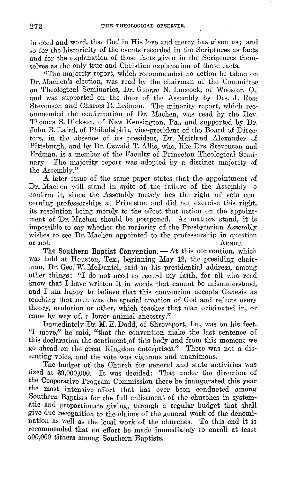in deed and word, that God in His love and mercy has given us; and so for the historicity of the events recorded in the Scriptures as facts and for the explanation of those facts given in the Scriptures themselves as the only true and Christian explanation of those facts.

"The majority report, which recommended no action be taken on Dr. Machen's election, was read by the chairman of the Committee on Theological Seminaries, Dr. George N. Luecock, of Wooster, 0., and was supported on the floor of the Assembly by Drs. J. Rose Stevenson and Charles R. Erdman. The minority report, which rec• ommended the confirmation of Dr. Machen, was read by the Rev, Thomas S. Dickson, of New Kensington, Pa., and supported by Dr, John B. Laird, of Philadelphia, vice-president of the Board of Direc· tors, in the absence of its president, Dr. Maitland Alexander of Pittsburgh, and by Dr. Oswald T. Allis, who, like Drs. Stevenson and Erdman, is a member of the Faculty of Princeton Theological Seminary. The majority report was adopted by a distinct majority of the Assembly."

A later issue of the same paper states that the appointment of Dr. Machen will stand in spite of the failure of the Assembly to confirm it, since the Assembly merely has the right of veto concerning professorships at Princeton and did not exercise this right, its resolution being merely to the effect that action on the appointment of Dr. Machen should be postponed. As matters stand, *it* is impossible to say whether the majority of the Presbyterian Assembly wishes to see Dr. Machen appointed to the professorship in question or not.  $A_{\text{RNDT}}$ .

or not. ARNDT.<br>The Southern Baptist Convention. -- At this convention, which was held at Houston, Tex., beginning May 12, the presiding chairman, Dr. Geo: W. McDaniel, said in his presidential address, among other things: "I do not need to record my faith, for all who read know that I have written it in words that cannot be misunderstood, and I am happy to believe that this convention accepts Genesis as teaching that man was the special creation of God and rejects every theory, evolution or other, which teaches that man originated in, or came by way of, a lower animal ancestry."

Immediately Dr. M. E. Dodd, of Shreveport, La., was on his feet. "I move," he said, "that the convention make the last sentence of this declaration the sentiment of this body and from this moment we go ahead on the great Kingdom enterprises." There was not a dissenting voice, and the vote was vigorous and unanimous.

The budget of the Church for general and state activities was fixed at \$9,000,000. It was decided: That under the direction of the Cooperative Program Commission there be inaugurated this year the most intensive effort that has ever been conducted among Southern Baptists for the full enlistment of the churches in systematic and proportionate giving, through a regular budget that shall give due recognition to the claims of the general work of the denomination as well as the local work of the churches. To this end it is recommended that an effort be made immediately to enroll at least 500,000 tithers among Southern Baptists.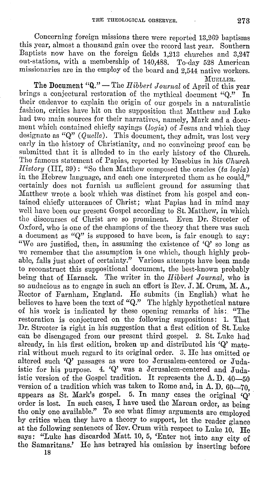Concerning foreign missions there were reported 13,269 baptisms this year, almost a thousand gain over the record last year. Southern Baptists now have on the foreign fields 1,213 churches and 3,247 out-stations, with a membership of 140,488. To-day 528 American missionaries are in the employ of the board and 2,544 native workers.<br>MUELLER.

l\IUELLER. **The Document "Q."** -The *Hibbert Joiirnal* of April of this year brings a conjectural restoration of the mythical document "Q." In their endeavor to explain the origin of our gospels in a naturalistic fashion, critics have hit on the supposition that Matthew and Luke had two main sources for their narratives, namely, Mark and a document which contained chiefly sayings *(logia)* of Jesus and which they designate as "Q" *(Quelle).* This document, they admit, was lost very early in the history of Christianity, and no convincing proof can be submitted that it is alluded to in the early history of tho Church. The famous statement of Papias, reported by Eusebius in his *Ohm·ch History* (III, 39): "So then Matthew composed the oracles *(ta logia)*  in the Hebrew language, and each one interpreted them as he could," certainly does not furnish us sufficient ground for assuming that Matthew wrote a book which was distinct from his gospel and contained chiefly utterances *of* Christ; what Papias had in mind may well have been our present Gospel according to St. Matthew, in which the discourses *of* Christ arc so prominent. Even Dr. Streeter of Oxford, who is one of the champions of the theory that there was such a document as **"Q"** is supposed to have been, is fair enough to say: "We are justified, then, in assuming the existence of **'Q'** so long as we remember that the assumption is one which, though highly probable, falls just short of certainty." Various attempts have been made to reconstruct this suppositional document, the best-known probably being that of Harnack. The writer in the *Hibbert Journal,* who is so audacious as to engage in such an effort is Rev.  $J$ .  $M$ . Orum,  $M$ .  $A$ . Rector of Farnham, England. He submits (in English) what he believes to have been the text of "Q." The highly hypothetical nature of his work is indicated by these opening remarks of his: "The restoration is conjectured on the following suppositions: 1. That Dr. Streeter is right in his suggestion that a first edition of St. Luke can be disengaged from our present third gospel. 2. St. Luke had already, in his first edition, broken up and distributed his **'Q'** material without much regard to its original order. 3. He has omitted or altered such 'Q' passages as were too Jerusalem-centered or Judaistic for his purpose. 4. **'Q'** was a Jerusalem-centered and Judaistic version of the Gospel tradition. It represents the A.D.  $40-50$ version of a tradition which was taken to Rome and, in A. D.  $60-70$ . appears as St. Mark's gospel. 5. In many cases the original  $\dddot{Q}$ order is lost. In such cases, I have used the Marean order, as being the only one available." To see what flimsy arguments are employed by critics when they have a theory to support, let the reader glance at the following sentences of Rev. Orum with respect to Luke 10. He says: "Luke has discarded Matt. 10, 5, 'Enter not into any city of the Samaritans.' He has betrayed his omission by inserting before

18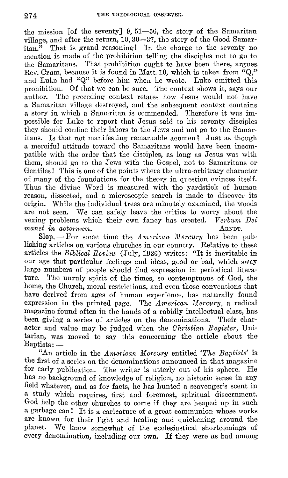the mission  $\lceil$  of the seventy  $\rfloor$  9, 51--56, the story of the Samaritan village, and after the return, 10, 30-37, the story of the Good Samaritan." That is grand reasoning I In the charge to the seventy no mention is made of the prohibition telling the disciples not to go to the Samaritans. That prohibition ought to have been there, argues Rev. Orum, because it is found in Matt. 10, which is taken from "Q," and Luke had "Q" before him when he wrote. Luke omitted this prohibition. Of that we can be sure. The context shows it, says our author. The preceding context relates how Jesus would not have a Samaritan village destroyed, and the subsequent context contains a story in which a Samaritan is commended. Therefore it was impossible for Luke to report that Jesus said to his seventy disciples they should confine their labors to the Jews and not go to the Samaritans. Is that not manifesting remarkable acumen? Just as though a merciful attitude toward the Samaritans would have been incompatible with the order that the disciples, as long as Jesus was with them, should go to the Jews with the Gospel, not to Samaritans or Gentiles! This is one of the points where the ultra-arbitrary character of many of the foundations for the theory in question evinces itself. Thus the divine Word is measured with the yardstick of human reason, dissected, and a microscopic search is made to discover its origin. While the individual trees are minutely examined, the woods are not seen. We can safely leave the critics to worry about the vexing problems which their own fancy has created. *Verbum Dei manet in aeternum.* ARNDT.

**Slop.** — For some time the *American Mercury* has been publishing articles on various churches in our country. Relative to these articles the *Biblical Review* (July, 1926) writes: "It is inevitable in our age that particular feelings and ideas, good or bad, which sway large numbers of people should find expression in periodical literature. The unruly spirit of the times, so contemptuous of God, the home, the Church, moral restrictions, and even those conventions that have derived from ages of human experience, has naturally found expression in the printed page. The *American Mercury*, a radical magazine found often in the hands of a rabidly intellectual class, has been giving a series of articles on the denominations. Their character and value may be judged when the *Christian Register,* Unitarian, was moved to say this concerning the article about the  $Baptists: -$ 

"An article in the *American Mercury* entitled *The Baptists'* is tho first of a series on the denominations announced in that magazine for early publication. The writer is utterly out of his sphere. He has no background of knowledge of religion, no historic sense in any field whatever, and as for facts, he has hunted a scavenger's scent in a study which requires, first and foremost, spiritual discernment. God help the other churches to come if they are heaped up in such a garbage can! It is a caricature of a great communion whose works are known for their light and healing and quickening around the planet. We know somewhat of the ecclesiastical shortcomings of every denomination, including our own. H they were as bad among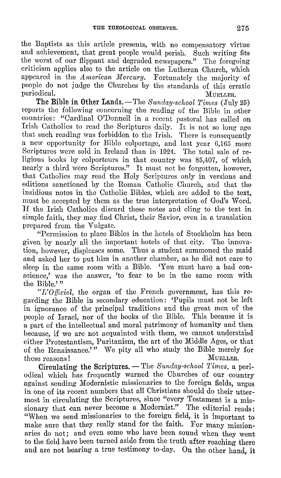the Baptists as this article presents, with no compensatory virtue and achievement, that great people would perish. Such writing fits the worst of our flippant and degraded newspapers." The foregoing criticism applies also to the article on the Lutheran Church, which appeared in the *American Mercury*. Fortunately the majority of people do not judge the Churches by the standards of this erratic periodical. Multiple of the matrix of the Multiple Multiple of Multiple Section 2014.

**The Bible in Other** Lands.-The *Sunday-school Times* (.July 25) reports the following concerning the reading of the Bible in other countries: "Cardinal O'Donnell in a recent pastoral has called on Irish Catholics to read the Scriptures daily. It is not so long ago that such reading was forbidden to the Irish. There is consequently a new opportunity for Bible colportagc, and last year 6,165 more Scriptures were sold in Ireland than in 1924. The total sale of religious books by colporteurs in that country was 85,407, of which nearly a third were Scriptures." It must not be forgotten, however, that Catholics may read the Holy Scriptures only in versions and editions sanctioned by the Roman Catholic Church, and that the insidious notes in the Catholic Bibles, which are added to the text, must be accepted by them as the true interpretation of God's Word. If the Irish Catholics discard these notes and cling to the text in simple faith, they may find Christ, their Savior, even in a translation prepared from the Vulgate.

"Permission to place Bibles in the hotels of Stockholm has been given by nearly all the important hotels of that city. The innovation, however, displeases some. Thus a student summoned the maid and asked her to put him in another chamber, as he did not care to sleep in the same room with a Bible. 'You must have a bad conscience,' was the answer, 'to fear to be in the same room with the Bible.'"

*"L'Officiel,* the organ of the French government, has this regarding the Bible in secondary education: 'Pupils must not be left in ignorance of the principal traditions and the great men of the people of Israel, nor of the books of the Bible. This because it is a part of the intellectual and moral patrimony of humanity and then because, if we are not acquainted with them, we cannot understand either Protestantism, Puritanism, the art of the Middle Ages, or that of the Renaissance.'" We pity all who study the Bible merely for these reasons! MuELLER.

**Circulating the Scriptures.** — The *Sunday-school Times*, a periodical which has frequently warned the Churches of our country against sending Modernistic missionaries to the foreign fields, urges *in* one of its recent numbers that all Christians should do their uttermost in circulating the Scriptures, since "every Testament is a missionary that can never become a Modernist." The editorial reads: "When we send missionaries to the foreign field, it is important to make sure that they really stand for the faith. For many missionaries do not; and even some who have been sound when they went to the field have been turned aside from the truth after reaching there and are not bearing a true testimony to-day. On the other hand, it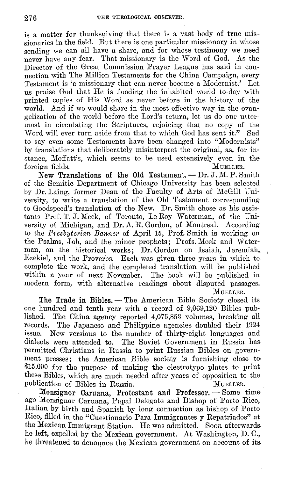is a matter for thanksgiving that there is a vast body of true missionaries in the field. But there is one particular missionary in whose sending we can all have a share, and for whose testimony we need never have any fear. That missionary is the Word of God. As the Director of the Great Commission Prayer League has said in connection with The Million Testaments for the China Campaign, every Testament is 'a missionary that can never become a Modernist.' Let. us praise God that He is flooding the inhabited world to-day with printed copies of His Word as never before in the history of the world. And if we would share in the most effective way in the evangelization of the world before the Lord's return, let us do our uttermost in circulating the Scriptures, rejoicing that no copy of the Word will ever turn aside from that to which God has sent it." Sad to say even some Testaments have been changed into "Modernists" by translations that deliberately misinterpret the original, as, for instance, Moffatt's, which seems to be used extensively even in the foreign fields. foreign fields. MuELLER.

**New Translations of the Old Testament.** — Dr. J. M. P. Smith of the Semitic Department of Chicago University has been selected by Dr. Laing, former Dean of the Faculty of Arts of McGill University, to write a translation of the Old Testament corresponding· to Goodspeed's translation of the New. Dr. Smith chose as his assistants Prof. T. J. Meek, of Toronto, Le Roy Waterman, of the University of Michigan, and Dr. A. R. Gordon, of Montreal. According to the *Presbyterian Banner* of April 15, Prof. Smith is working on the Psalms, Job, and the minor prophets; Profs. Meek and \Vaterman, on the historical works; **Dr.** Gordon on Isaiah, Jeremiah~ , Ezekiel, and the Proverbs. Each was given three years in which to complete the work, and the completed translation will be published within a year of next November. The book will be published in modern form, with alternative readings about disputed passages. :MUELLER.

The Trade in Bibles. - The American Bible Society closed its one hundred and tenth year with a record of 9,069,120 Bibles published. The China agency reported 4,075,853 volumes, breaking all records. The Japanese and Philippine agencies doubled their 1924 issue. New versions to the number of thirty-eight languages and dialects were attended to. The Soviet Government in Russia has permitted Christians in Russia to print Russian Bibles on government presses; the American Bible society is furnishing close to \$15,000 for the purpose of making the electrotype plates to print these Bibles, which are much needed after years of opposition to the publication of Bibles in Russia. MUELLER.

**Monsignor Caruana, Protestant and Professor.** - Some time ago Monsignor Caruana, Papal Delegate and Bishop of Porto Rico, Italian by birth and Spanish by long connection as bishop of Porto Rico, filled in the "Cuestionario Para Immigrantes y Repatriados" at the Mexican Immigrant Station. He was admitted. Soon afterwards. ho left, expelled by the Mexican government. At Washington, D. C., he threatened to denounce the Mexican government on account of its.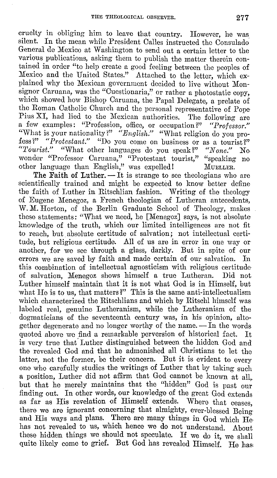cruelty in obliging him to leave that country. However, he was silent. In the mean while President Calles instructed the Consulado, General de Mexico at Washington to send out a certain letter to the various publications, asking them to publish the matter therein contained in order "to help create a good feeling between the peoples of Mexico and the United States." Attached to the letter, which explained why the Mexican government decided to live without Monsignor Caruana, was the "Cuestionaria," or rather a photostatic copy, which showed how Bishop Caruana, the Papal Delegate, a prelate of the Roman Catholic Church and the personal representative of Pope, Pius XI, had lied to the Mexican authorities. The following are a few examples: "Profession, office, or occupation?" *"Professor."*  "What is your nationality?" *"English."* "What religion do you profess ?" *"Protestant."* "Do you come on business or as a tourist?"<br>"Tourist." "What other languages do you speak?" "None." No "What other languages do you speak?" "None." No wonder "Professor Caruana," "Protestant tourist," "speaking no other language than English," was expelled! MUELLER.

The Faith of Luther. — It is strange to see theologians who are scientifically trained and might be expected to know better define the faith of Luther in Ritschlian fashion. Writing of the theology of Eugene Menegoz, a French theologian of Lutheran antecedents, W. M. Horton, of the Berlin Graduate School of Theology, makes these statements: "What we need, he [Menegoz] says, is not absolute knowledge of the truth, which our limited intelligences are not fit to reach, but absolute certitude of salvation; not intellectual certitude, but religious certitude. All of us are in error in one way or another, for we see through a glass, darkly. But in spite of our errors we are saved by faith and made certain of our salvation. In this combination of intellectual agnosticism with religious certitude of salvation, Menegoz shows himself a true Lutheran. Did not Luther himself maintain that it is not what God is in Himself, but what He is to us, that matters?" This is the same anti-intellectualism which characterized the Ritschlians and which by Ritschl himself was labeled real, genuine Lutheranism, while the Lutheranism of the dogmaticians of the seventeenth century was, in his opinion, altogether degenerate and no longer worthy of the name. - In the words quoted above we find a remarkable perversion of historical fact. It is very true that' Luther distinguished between the hidden God and the revealed God and that he admonished all Christians to let the latter, not the former, be their concern. But it is evident to every one who carefully studies the writings of Luther that by taking such a position, Luther did not affirm that God cannot be known at all,, but that he merely maintains that the "hidden" God is past our finding out. In other words, our knowledge of the great God extends as far as His revelation of Himself extends. Where that ceases, there we are ignorant concerning that almighty, ever-blessed Being and His ways and plans. There are many things in God which He has not revealed to us, which hence we do not understand. About these hidden things we should not speculate. If we do it, we shall quite likely come to grief. But God has revealed Himself. He has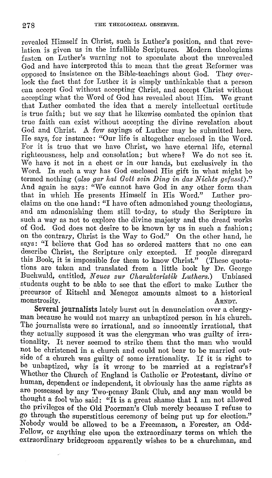revealed Himself in Christ, such is Luther's position, and that revelation is given us in the infallible Scriptures. Modern theologians fasten on Luther's warning not to speculate about the unrevealed God and have interpreted this to mean that the great Reformer was opposed to insistence on the Bible-teachings about God. They overlook the fact that for Luther it is simply unthinkable that a person can accept God without accepting Christ, and accept Christ without accepting what the Word of God has revealed about Him. We grant that Luther combated the idea that a merely intellectual certitude is true faith; but we say that he likewise combated the opinion that true faith can exist without accepting the divine revelation about God and Christ. A few sayings of Luther may be submitted here. He says, for instance: "Our life is altogether enclosed in the Word. For it is true that we have Christ, we have eternal life, eternal righteousness, help and consolation; but where? We do not see it. We have it not in a chest or in our hands, but exclusively in the Word. In such a way has God enclosed His gift in what might be termed nothing *(also gar hat Gott sein Ding in das Nichts gefasst)."*  And again he says: "We cannot have God in any other form than that in which He presents Himself in His Word." Luther proclaims on the one hand: "I have often admonished young theologians, and am admonishing them still to-day, to study the Scripture in such a way as not to explore the divine majesty and the dread works of God. God does not desire to be known by us in such a fashion; on the contrary, Christ is the Way to God." On the other hand, he says: "I believe that God has so ordered matters that no one can describe Christ, the Scripture only excepted. If people disregard this Book, it is impossible for them to know Christ." (These quotations are taken and translated from a little book by Dr. George Buchwald, entitled, *N cues zur Oharalcteristilc Luthers.)* Unbiased students ought to be able to see that the effort to make Luther the precursor of Ritschl and Menegoz amounts almost to a historical monstrosity. ARNDT.

**Several journalists** lately burst out in denunciation over a clergyman because he would not marry an unbaptized person in his church. The journalists were so irrational, and so innocently irrational, that they actually supposed it was the clergyman who was guilty of irrationality. It never seemed to strike them that the man who would not be christened in a church and could not bear to be married outside of a church was guilty of some irrationality. If it is right to be unbaptized, why is it wrong to be married at a registrar's? Whether the Church of England is Catholic or Protestant, divine or human, dependent or independent, it obviously has the same rights as are possessed by any Two-penny Bank Club, and any man would be thought a fool who said: "It is a great shame that I am not allowed the privileges of the Old Poorman's Club merely because I refuse to go through the superstitious ceremony of being put up for election." Nobody would be allowed to be a Freemason, a Forester, an Odd-Fellow, or anything else upon the extraordinary terms on which the extraordinary bridegroom apparently wishes to be a churchman, and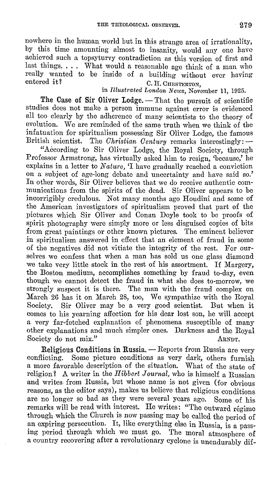nowhere in the human world but in this strange area of irrationality, by this time amounting almost to insanity, would any one have achieved such a topsyturvy contradiction as this version of first and last things. . . . What would a reasonable age think of a man who really wanted to be inside of a building without ever having<br>entered it?<br> $C$  H Cursmannov C. H. CHESTERTON,

in *Illustrated London News,* November **11,** 1925.

The Case of Sir Oliver Lodge. - That the pursuit of scientific studies does not make a person immune against error is evidenced all too clearly by the adherence of many scientists to the theory of evolution. We are reminded of the same truth when we think of the infatuation for spiritualism possessing Sir Oliver Lodge, the famous British scientist. The *Christian Century* remarks interestingly: -

"According to Sir Oliver Lodge, the Royal Society, through Professor Armstrong, has virtually asked him to resign, 'because,' he explains in a letter to *Nature,* 'I have gradually reached a conviction on a subject of age-long debate and uncertainty and have said so.' In other words, Sir Oliver believes that we do receive authentic communications from the spirits of the dead. Sir Oliver appears to be incorrigibly credulous. Not many months ago Houdini and some of the American investigators of spiritualism proved that part of the pictures which Sir Oliver and Conan Doyle took to be proofs of spirit photography were simp1y more or less disguised copies of bits from great paintings or other known pictures. The eminent believer in spiritualism answered in effect that an element of fraud in some of the negatives did not vitiate the integrity of the rest. For ourselves we confess that when a man has sold us one glass diamond we take very little stock in the rest of his assortment. If Margery, the Boston medium, accomplishes something by fraud to-day, even though we cannot detect the fraud in what she does to-morrow, we strongly suspect it is there. The man with the fraud complex on March 26 has it on March 28, too, We sympathize with the Royal Society. Sir Oliver may be a very good scientist. But when it comes to his yearning affection for his dear lost son, he will accept a very far-fetched explanation of phenomena susceptible of many other explanations and much simpler ones. Darkness and the Royal Society do not mix." ARNDT.

**Religious Conditions in Russia.** — Reports from Russia are very conflicting. Some picture conditions as very dark, others furnish **a** more favorable description of the situation. What of the state of religion? **A** writer in the *Hibbert Journal,* who is himself a Russian and writes- from Russia, but whose name is not given (for obvious reasons, as the editor says), makes us believe that religious conditions. are no longer so bad as they were several years ago. Some of his remarks will be read with interest. He writes: "The outward régime through which the Church is now passing may be called the period of an expiring persecution. It, like everything else in Russia, is a passing period through which we must go. The moral atmosphere of a country recovering after a revolutionary cyclone is unendurably dif-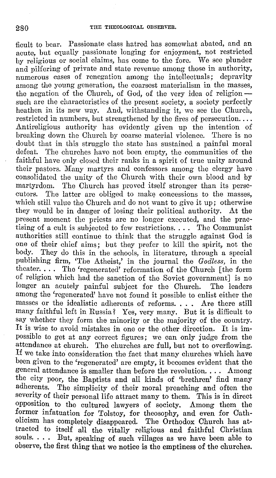ficult to bear. Passionate class hatred has somewhat abated, and an acute, but equally passionate longing for enjoyment, not restricted by religious or social claims, has come to the fore. We see plunder and pilfering of private and state revenue among those in authority, numerous cases of renegation among the intellectuals; depravity among the young generation, the coarsest materialism in the masses, the negation of the Church, of God, of the very idea of religion -such are the characteristics of the present society, a society perfectly heathen in its new way. And, withstanding it, we see the Church, restricted in numbers, but strengthened by the fires of persecution.... Antireligious authority has evidently given up the intention of breaking down the Church by coarse material violence. There is no doubt that in this struggle tho state has sustained a painful moral defeat. The churches have not been empty, the communities of the faithful have only closed their ranks in a spirit of true unity around their pastors. Many martyrs and confessors among the clergy have consolidated the unity of the Church with their own blood and by martyrdom. The Church has proved itself stronger than its perse-<br>cutors. The latter are obliged to make concessions to the masses. The latter are obliged to make concessions to the masses, which still value the Church and do not want to give it up; otherwise they would be in danger of losing their political authority. At the present moment the priests are no longer executed, and the practising of a cult is subjected to few restrictions. . . . The Communist authorities still continue to think that the struggle against God is one of their chief aims; but they prefer to kill the spirit, not the body. They do this in the schools, in literature, through a special publishing firm, 'The Atheist,' in the journal the *Godless,* in the theater. . . . The 'regenerated' reformation of the Church [the form of religion which had the sanction of the Soviet government] is no longer an acutely painful subject for the Church. The leaders among the 'regenerated' have not found it possible to enlist either the masses or the idealistic adherents of reforms. . . . Are there still many faithful left in Russia? Yes, very many. But it is difficult to say whether they form the minority or the majority of the country. It is wise to avoid mistakes in one or the other direction. It is impossible to get at any correct figures; we can only judge from the attendance at church. The churches arc full, but not to overflowing. If we take into consideration the fact that many churches which have been given to the 'regenerated' are empty, it becomes evident that the general attendance is smaller than before the revolution. . . . Among the city poor, the Baptists and all kinds of 'brethren' find many adherents. The simplicity of their moral preaching and often the severity of their personal life attract many to them. This is in direct opposition to the cultured lawyers of society. Among them the former infatuation for Tolstoy, for theosophy, and even for Catholicism has completely disappeared. The Orthodox Church has attracted to itself all the vitally religious and faithful Christian souls. . . . But, speaking of such villages as we have been able to observe, the first thing that we notice is the emptiness of the churches.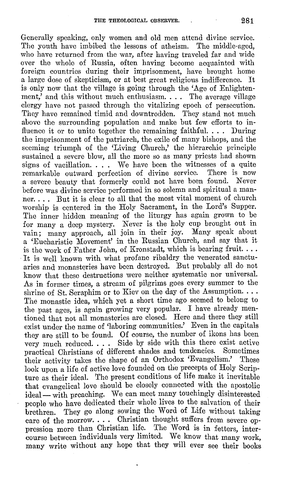Generally speaking, only women and old men attend divine service. The youth have imbibed the lessons of atheism. The middle-aged, who have returned from the war, after having traveled far and wide over the whole of Russia, often having become acquainted with foreign countries during their imprisonment, have brought home a large dose of skepticism, or at best great religious indifference. It is only now that the village is going through the 'Age of Enlightenment,' and this without much enthusiasm. . . . The average village clergy have not passed through the vitalizing epoch of persecution. They have remained timid and downtrodden. They stand not much above the surrounding population and make but few efforts to influence it or to unite together the remaining faithful. . . . During the imprisonment of the patriarch, the exile of many bishops, and the seeming triumph of the 'Living Ohurch,' the hierarchic principle sustained **a** severe blow, all the more so as many priests had shown signs of vacillation. . . . We have been the witnesses of a quite remarkable outward perfection of divine service. There is now **a** severe beauty that formerly could not have been found. Never before was divine service performed in so solemn and spiritual a manner. . . . But it is clear to all that the most vital moment of church worship is centered in the Holy Sacrament, in the Lord's Supper. Tho inner hidden meaning of the liturgy has again grown to be for many a deep mystery. Never is the holy cup brought out in vain; many approach, all join in their joy. Many speak about a 'Eucharistic Movement' in the Russian Church, and say that it is the work of Father John, of Kronstadt, which is bearing fruit.... · It is well known with what profane ribaldry the venerated sanctuaries and monasteries have been destroyed. But probably all do not know that these destructions were neither systematic nor universal. As in former times, a stream of pilgrims goes every summer to the shrine of St. Seraphim or to Kiev on the day of the Assumption. . . . The monastic idea, which yet a short time ago seemed to belong to the past ages, is again growing very popular. I have already mentioned that not all monasteries are closed. Here and there they still exist under the name of 'laboring communities.' Even in the capitals they are still to be found. Of course, the number of ikons has been very much reduced. . . . Side by side with this there exist active practical Christians of different shades and tendencies. their activity takes the shape of an Orthodox 'Evangelism.' These look upon a life of active love founded on the precepts of Holy Scripture as their ideal. The present conditions of life make it inevitable that evangelical love should be closely connected with the apostolic ideal - with preaching. We can meet many touchingly disinterested people who have dedicated their whole lives to the salvation of their brethren. They go along sowing the Word of Life without taking care of the morrow.... Christian thought suffers from severe oppression more than Christian life. The Word is in fetters, intercourse between individuals very limited. We know that many work, many write without any hope that they will ever see their books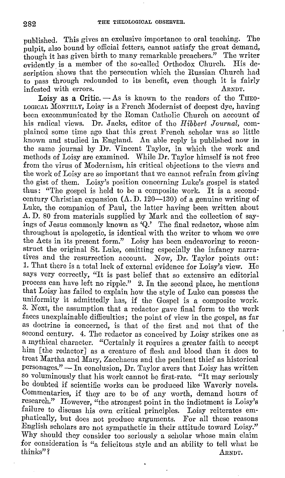published. This gives an exclusive importance to oral teaching. The pulpit, also bound by official fetters, cannot satisfy the great demand. though it has given birth to many remarkable preachers." The writer<br>cyidently is a member of the so-called Orthodox Church. His deevidently is a member of the so-called Orthodox Church. scription shows that the persecution which the Russian Church had to pass through redounded to its benefit, even though it is fairly infected with errors. infested with errors.

Loisy as a Critic.  $-$  As is known to the readers of the THEO-LOGIOAL MONTHLY, Loisy is a French Modernist of deepest dye, having been excommunicated by the Roman Catholic Church on account of his radical views. Dr. Jacks, editor of the *Hibbert Journal,* complained some time ago that this great French scholar was so little known and studied in England. An able reply is published now in tho same journal by Dr. Vincent Taylor, in which the work and methods of Loisy are examined. While Dr. Taylor himself is not free from the virus of Modernism, his critical objections to the views and the work of Loisy are so important that we cannot refrain from giving tho gist of them. Loisy's position concerning Luke's gospel is stated thus: "The gospel is held to be a composite work. It is a secondcentury Christian expansion **(A. D.** 120-130) of a genuine writing of Luke, the companion of Paul, the latter having been written about .A. D. 80 from materials supplied by Mark and the collection of sayings of Jesus commonly known as **'Q.'** The final redactor, whose aim throughout is apologetic, is identical with the writer to whom we owe the Acts in its present form." Loisy has been endeavoring to reconstruct the original St. Luke, omitting especially the infancy narratives and the resurrection account. Now, Dr. Taylor points out: 1. That there is a total lack of external evidence for Loisy's view. He says very correctly, "It is past belief that so extensive an editorial process can have left no ripple." 2. In the second place, he mentions that Loisy has failed to explain how the style of Luke can possess the uniformity it admittedly has, if the Gospel is a composite work. 3. Next, the assumption that a redactor gave final form to the work faces unexplainable difficulties; the point of view in the gospel, as far as doctrine is concerned, is that of the first and not that of the second century. 4. The redactor as conceived by Loisy strikes one as a mythical character. "Certainly it requires a greater faith to accept him [the redactor] as a creature of flesh and blood than it does to treat Martha and Mary, Zacchacus and the penitent thief as historical personages." - In conclusion, Dr. Taylor avers that Loisy has written so voluminously that his work cannot be first-rate. "It may seriously be doubted if scientific works can be produced like Waverly novels. Commentaries, if they are to be of any worth, demand hours of research." However, "the strongest point in the indictment is Loisy's failure to discuss his own critical principles. Loisy reiterates emphatically, but does not produce arguments. For all these reasons English scholars are not sympathetic in their attitude toward Loisy.'' Why should they consider too seriously a scholar whose main claim for consideration is "a felicitous style and an ability to tell what he thinks"? ARNDT.